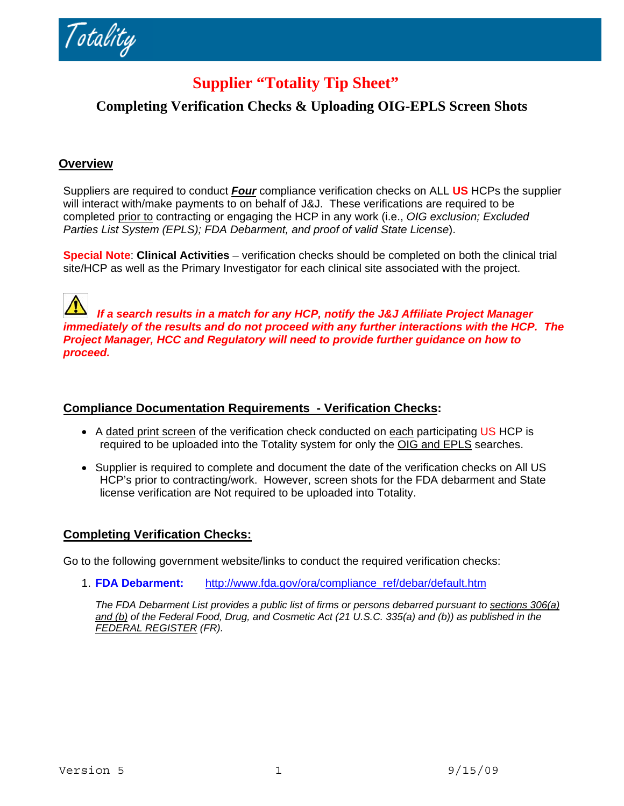Totality

# **Supplier "Totality Tip Sheet"**

## **Completing Verification Checks & Uploading OIG-EPLS Screen Shots**

#### **Overview**

Suppliers are required to conduct *Four* compliance verification checks on ALL **US** HCPs the supplier will interact with/make payments to on behalf of J&J. These verifications are required to be completed prior to contracting or engaging the HCP in any work (i.e., *OIG exclusion; Excluded Parties List System (EPLS); FDA Debarment, and proof of valid State License*).

**Special Note**: **Clinical Activities** – verification checks should be completed on both the clinical trial site/HCP as well as the Primary Investigator for each clinical site associated with the project.

 *If a search results in a match for any HCP, notify the J&J Affiliate Project Manager immediately of the results and do not proceed with any further interactions with the HCP. The Project Manager, HCC and Regulatory will need to provide further guidance on how to proceed.* 

#### **Compliance Documentation Requirements - Verification Checks:**

- A dated print screen of the verification check conducted on each participating US HCP is required to be uploaded into the Totality system for only the OIG and EPLS searches.
- Supplier is required to complete and document the date of the verification checks on All US HCP's prior to contracting/work. However, screen shots for the FDA debarment and State license verification are Not required to be uploaded into Totality.

## **Completing Verification Checks:**

Go to the following government website/links to conduct the required verification checks:

1. **FDA Debarment:** [http://www.fda.gov/ora/compliance\\_ref/debar/default.htm](http://www.fda.gov/ora/compliance_ref/debar/default.htm)

*The FDA Debarment List provides a public list of firms or persons debarred pursuant to sections 306(a) [and \(b\)](http://www.fda.gov/RegulatoryInformation/Legislation/FederalFoodDrugandCosmeticActFDCAct/FDCActChapterIIIProhibitedActsandPenalties/ucm107326.htm) of the Federal Food, Drug, and Cosmetic Act (21 U.S.C. 335(a) and (b)) as published in the [FEDERAL REGISTER](http://www.gpoaccess.gov/fr/) (FR).*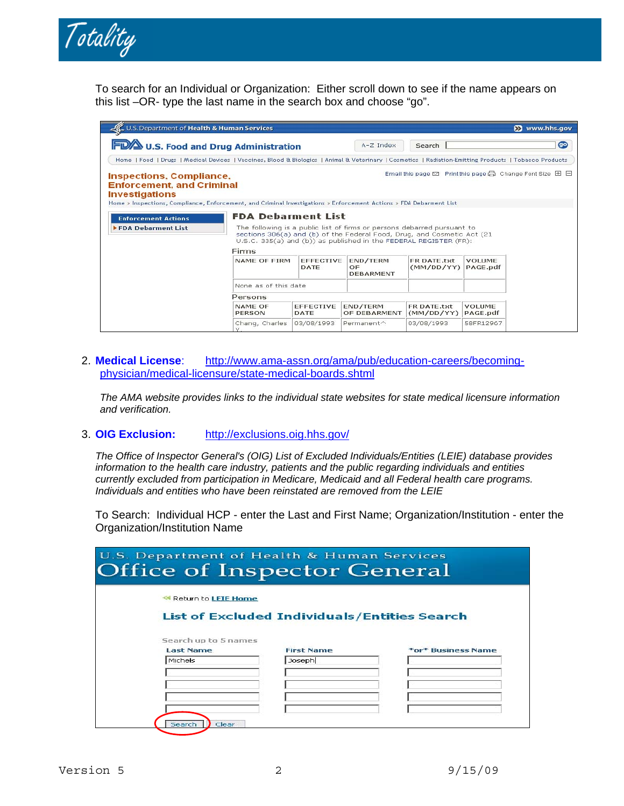

To search for an Individual or Organization: Either scroll down to see if the name appears on this list –OR- type the last name in the search box and choose "go".

| U.S. Department of Health & Human Services                                                                                                                                                                          |                                                                                                                                                                                                                         |                          |                                           |                           |                           | Www.hhs.gov                                                                                    |
|---------------------------------------------------------------------------------------------------------------------------------------------------------------------------------------------------------------------|-------------------------------------------------------------------------------------------------------------------------------------------------------------------------------------------------------------------------|--------------------------|-------------------------------------------|---------------------------|---------------------------|------------------------------------------------------------------------------------------------|
| <b>FD/A</b> U.S. Food and Drug Administration                                                                                                                                                                       |                                                                                                                                                                                                                         |                          | $A-Z$ Index                               | Search                    |                           | $\bullet$                                                                                      |
| Home   Food   Drugs   Medical Devices   Vaccines, Blood & Biologics   Animal & Veterinary   Cosmetics   Radiation-Emitting Products   Tobacco Products                                                              |                                                                                                                                                                                                                         |                          |                                           |                           |                           |                                                                                                |
| <b>Inspections, Compliance,</b><br><b>Enforcement, and Criminal</b><br><b>Investigations</b><br>Home > Inspections, Compliance, Enforcement, and Criminal Investigations > Enforcement Actions > FDA Debarment List |                                                                                                                                                                                                                         |                          |                                           |                           |                           | Email this page $\boxtimes$ Print this page $\boxplus$ Change Font Size $\boxplus$ $\boxminus$ |
| <b>Enforcement Actions</b>                                                                                                                                                                                          | <b>FDA Debarment List</b>                                                                                                                                                                                               |                          |                                           |                           |                           |                                                                                                |
| <b>FDA Deharment List</b>                                                                                                                                                                                           | The following is a public list of firms or persons debarred pursuant to<br>sections 306(a) and (b) of the Federal Food, Drug, and Cosmetic Act (21<br>U.S.C. 335(a) and (b)) as published in the FEDERAL REGISTER (FR): |                          |                                           |                           |                           |                                                                                                |
|                                                                                                                                                                                                                     | Firms                                                                                                                                                                                                                   |                          |                                           |                           |                           |                                                                                                |
|                                                                                                                                                                                                                     | NAME OF FIRM                                                                                                                                                                                                            | <b>EFFECTIVE</b><br>DATE | END/TERM<br><b>OF</b><br><b>DEBARMENT</b> | FR DATE txt<br>(MM/DD/YY) | <b>VOLUME</b><br>PAGE.pdf |                                                                                                |
|                                                                                                                                                                                                                     | None as of this date                                                                                                                                                                                                    |                          |                                           |                           |                           |                                                                                                |
|                                                                                                                                                                                                                     | Persons                                                                                                                                                                                                                 |                          |                                           |                           |                           |                                                                                                |
|                                                                                                                                                                                                                     | NAME OF<br>PERSON                                                                                                                                                                                                       | <b>EFFECTIVE</b><br>DATE | END/TERM<br>OF DEBARMENT                  | FR DATE.txt<br>(MM/DD/YY) | <b>VOLUME</b><br>PAGE.pdf |                                                                                                |
|                                                                                                                                                                                                                     | Chang, Charles                                                                                                                                                                                                          | 03/08/1993               | Permanent^                                | 03/08/1993                | 58FR12967                 |                                                                                                |

#### 2. **Medical License**: [http://www.ama-assn.org/ama/pub/education-careers/becoming](http://www.ama-assn.org/ama/pub/education-careers/becoming-physician/medical-licensure/state-medical-boards.shtml)[physician/medical-licensure/state-medical-boards.shtml](http://www.ama-assn.org/ama/pub/education-careers/becoming-physician/medical-licensure/state-medical-boards.shtml)

*The AMA website provides links to the individual state websites for state medical licensure information and verification.* 

#### 3. **OIG Exclusion:** <http://exclusions.oig.hhs.gov/>

*The Office of Inspector General's (OIG) List of Excluded Individuals/Entities (LEIE) database provides information to the health care industry, patients and the public regarding individuals and entities currently excluded from participation in Medicare, Medicaid and all Federal health care programs. Individuals and entities who have been reinstated are removed from the LEIE*

To Search: Individual HCP - enter the Last and First Name; Organization/Institution - enter the Organization/Institution Name

| U.S. Department of Health & Human Services<br><b>Office of Inspector General</b> |                                                     |                    |  |  |
|----------------------------------------------------------------------------------|-----------------------------------------------------|--------------------|--|--|
| Return to LEIE Home                                                              |                                                     |                    |  |  |
|                                                                                  | <b>List of Excluded Individuals/Entities Search</b> |                    |  |  |
| Search up to 5 names<br><b>Last Name</b>                                         | <b>First Name</b>                                   | *or* Business Name |  |  |
| Michels                                                                          | Joseph                                              |                    |  |  |
|                                                                                  |                                                     |                    |  |  |
|                                                                                  |                                                     |                    |  |  |
|                                                                                  |                                                     |                    |  |  |
| Search                                                                           | Clear                                               |                    |  |  |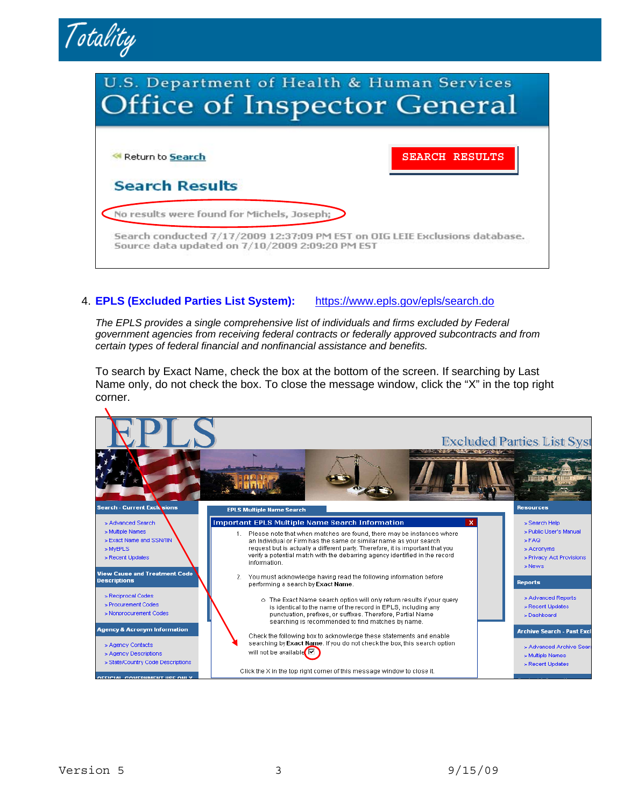



#### 4. **EPLS (Excluded Parties List System):** <https://www.epls.gov/epls/search.do>

*The EPLS provides a single comprehensive list of individuals and firms excluded by Federal government agencies from receiving federal contracts or federally approved subcontracts and from certain types of federal financial and nonfinancial assistance and benefits.* 

To search by Exact Name, check the box at the bottom of the screen. If searching by Last Name only, do not check the box. To close the message window, click the "X" in the top right corner.

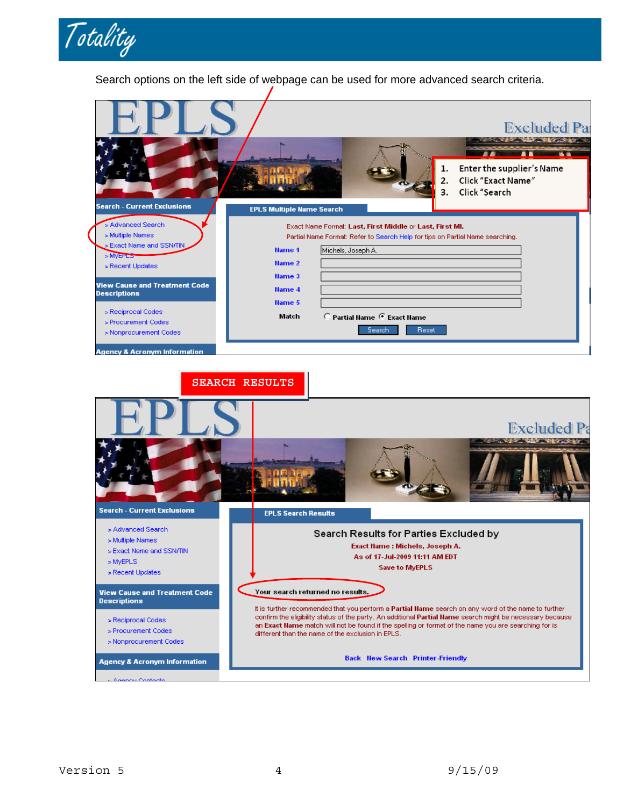

Search options on the left side of webpage can be used for more advanced search criteria.

|                                                                                                                                       |                                                                                                                                                                                                                                       | <b>Excluded Pat</b>                                                                 |
|---------------------------------------------------------------------------------------------------------------------------------------|---------------------------------------------------------------------------------------------------------------------------------------------------------------------------------------------------------------------------------------|-------------------------------------------------------------------------------------|
|                                                                                                                                       |                                                                                                                                                                                                                                       | Enter the supplier's Name<br><b>Click "Exact Name"</b><br>2.<br>Click "Search<br>3. |
| <b>Search - Current Exclusions</b><br>> Advanced Search<br>> Multiple Names<br>Exact Name and SSN/TIN<br>> MyEPLS<br>> Recent Updates | <b>EPLS Multiple Name Search</b><br>Exact Name Format: Last, First Middle or Last, First MI.<br>Partial Name Format: Refer to Search Help for tips on Partial Name searching.<br>Michels, Joseph A.<br><b>Name 1</b><br><b>Name 2</b> |                                                                                     |
| <b>View Cause and Treatment Code</b><br><b>Descriptions</b><br>> Reciprocal Codes<br>> Procurement Codes<br>> Nonprocurement Codes    | <b>Name 3</b><br><b>Name 4</b><br><b>Name 5</b><br>C Partial Name C Exact Name<br>Match<br>Search                                                                                                                                     | Reset                                                                               |

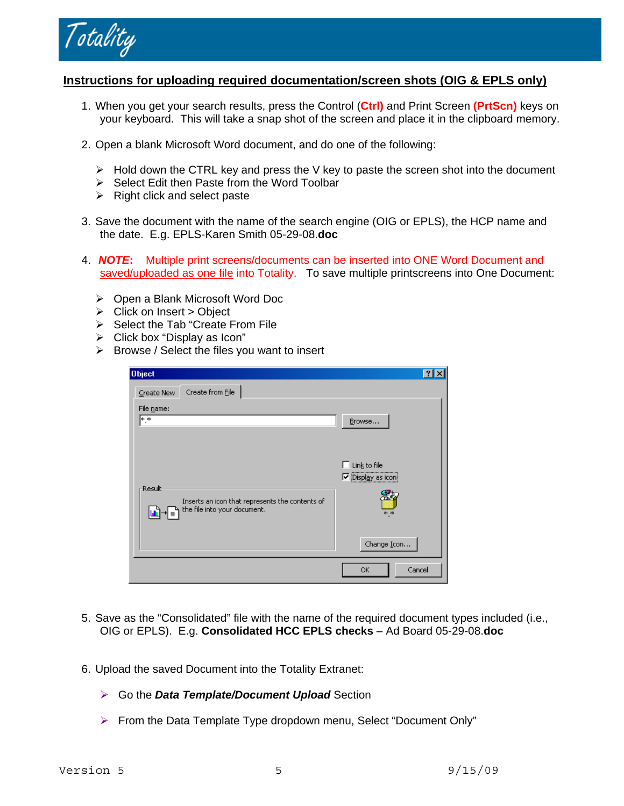

### **Instructions for uploading required documentation/screen shots (OIG & EPLS only)**

- 1. When you get your search results, press the Control (**Ctrl)** and Print Screen **(PrtScn)** keys on your keyboard. This will take a snap shot of the screen and place it in the clipboard memory.
- 2. Open a blank Microsoft Word document, and do one of the following:
	- $\triangleright$  Hold down the CTRL key and press the V key to paste the screen shot into the document
	- ¾ Select Edit then Paste from the Word Toolbar
	- $\triangleright$  Right click and select paste
- 3. Save the document with the name of the search engine (OIG or EPLS), the HCP name and the date. E.g. EPLS-Karen Smith 05-29-08.**doc**
- 4. *NOTE***:** Multiple print screens/documents can be inserted into ONE Word Document and saved/uploaded as one file into Totality. To save multiple printscreens into One Document:
	- ¾ Open a Blank Microsoft Word Doc
	- $\triangleright$  Click on Insert > Object
	- $\triangleright$  Select the Tab "Create From File
	- $\triangleright$  Click box "Display as Icon"
	- $\triangleright$  Browse / Select the files you want to insert

| <b>Object</b>                                                                               |                                          |
|---------------------------------------------------------------------------------------------|------------------------------------------|
| Create from File<br>Create New                                                              |                                          |
| File name:<br>l∗.∗                                                                          | Browse                                   |
| Result<br>Inserts an icon that represents the contents of<br>h the file into your document. | Link to file<br>Display as icon<br>$*.*$ |
|                                                                                             | Change Icon                              |
|                                                                                             | Cancel<br>OK                             |

- 5. Save as the "Consolidated" file with the name of the required document types included (i.e., OIG or EPLS). E.g. **Consolidated HCC EPLS checks** – Ad Board 05-29-08.**doc**
- 6. Upload the saved Document into the Totality Extranet:
	- ¾ Go the *Data Template/Document Upload* Section
	- ¾ From the Data Template Type dropdown menu, Select "Document Only"